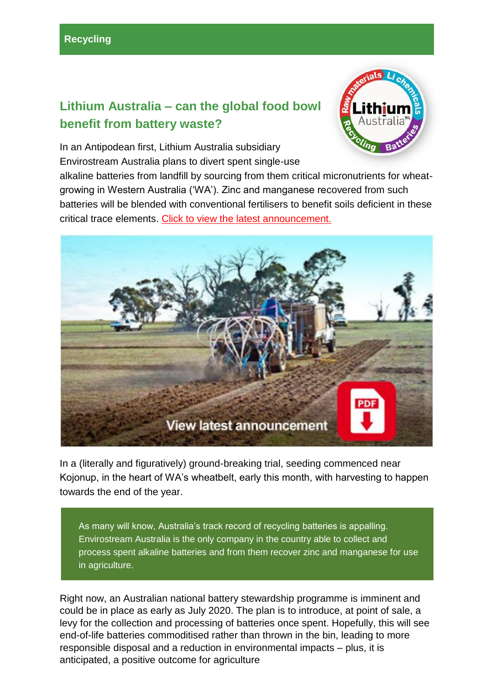## **Lithium Australia – can the global food bowl benefit from battery waste?**



In an Antipodean first, Lithium Australia subsidiary Envirostream Australia plans to divert spent single-use

alkaline batteries from landfill by sourcing from them critical micronutrients for wheatgrowing in Western Australia ('WA'). Zinc and manganese recovered from such batteries will be blended with conventional fertilisers to benefit soils deficient in these critical trace elements. [Click to view the latest announcement.](https://lithium-au.com/wp-content/uploads/2020/02/10062020-Envirostreams-micronutrient-field-trial-begins.pdf?utm_source=Investors&utm_campaign=5e3bd1952f-EMAIL_CAMPAIGN_2019_08_30_03_58_COPY_02&utm_medium=email&utm_term=0_25617522fe-5e3bd1952f-1209014117)



In a (literally and figuratively) ground-breaking trial, seeding commenced near Kojonup, in the heart of WA's wheatbelt, early this month, with harvesting to happen towards the end of the year.

As many will know, Australia's track record of recycling batteries is appalling. Envirostream Australia is the only company in the country able to collect and process spent alkaline batteries and from them recover zinc and manganese for use in agriculture.

Right now, an Australian national battery stewardship programme is imminent and could be in place as early as July 2020. The plan is to introduce, at point of sale, a levy for the collection and processing of batteries once spent. Hopefully, this will see end-of-life batteries commoditised rather than thrown in the bin, leading to more responsible disposal and a reduction in environmental impacts – plus, it is anticipated, a positive outcome for agriculture